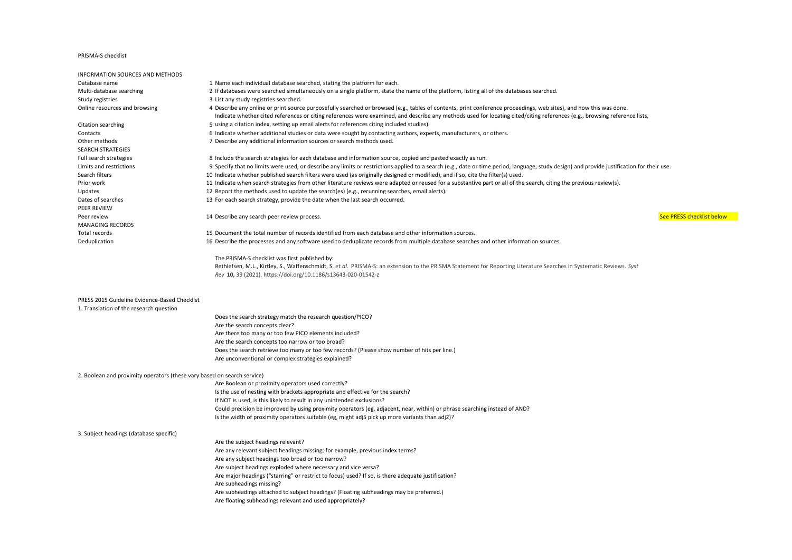## PRISMA-S checklist

| INFORMATION SOURCES AND METHODS                                         |                                                                                                                                                                                             |
|-------------------------------------------------------------------------|---------------------------------------------------------------------------------------------------------------------------------------------------------------------------------------------|
| Database name                                                           | 1 Name each individual database searched, stating the platform for each.                                                                                                                    |
| Multi-database searching                                                | 2 If databases were searched simultaneously on a single platform, state the name of the platform, listing all of the databases searched.                                                    |
| Study registries                                                        | 3 List any study registries searched.                                                                                                                                                       |
| Online resources and browsing                                           | 4 Describe any online or print source purposefully searched or browsed (e.g., tables of contents, print conference proceedings, web sites), and how this was done.                          |
|                                                                         | Indicate whether cited references or citing references were examined, and describe any methods used for locating cited/citing references (e.g., browsing reference lists,                   |
| Citation searching                                                      | 5 using a citation index, setting up email alerts for references citing included studies).                                                                                                  |
| Contacts                                                                | 6 Indicate whether additional studies or data were sought by contacting authors, experts, manufacturers, or others.                                                                         |
| Other methods                                                           | 7 Describe any additional information sources or search methods used.                                                                                                                       |
| SEARCH STRATEGIES                                                       |                                                                                                                                                                                             |
| Full search strategies                                                  | 8 Include the search strategies for each database and information source, copied and pasted exactly as run.                                                                                 |
| Limits and restrictions                                                 | 9 Specify that no limits were used, or describe any limits or restrictions applied to a search (e.g., date or time period, language, study design) and provide justification for their use. |
| Search filters                                                          | 10 Indicate whether published search filters were used (as originally designed or modified), and if so, cite the filter(s) used.                                                            |
| Prior work                                                              | 11 Indicate when search strategies from other literature reviews were adapted or reused for a substantive part or all of the search, citing the previous review(s).                         |
| Updates                                                                 | 12 Report the methods used to update the search(es) (e.g., rerunning searches, email alerts).                                                                                               |
| Dates of searches                                                       | 13 For each search strategy, provide the date when the last search occurred.                                                                                                                |
| PEER REVIEW                                                             |                                                                                                                                                                                             |
| Peer review                                                             | 14 Describe any search peer review process.<br>See PRESS checklist below                                                                                                                    |
| <b>MANAGING RECORDS</b>                                                 |                                                                                                                                                                                             |
| Total records                                                           | 15 Document the total number of records identified from each database and other information sources.                                                                                        |
| Deduplication                                                           | 16 Describe the processes and any software used to deduplicate records from multiple database searches and other information sources.                                                       |
|                                                                         |                                                                                                                                                                                             |
|                                                                         | The PRISMA-S checklist was first published by:                                                                                                                                              |
|                                                                         | Rethlefsen, M.L., Kirtley, S., Waffenschmidt, S. et al. PRISMA-S: an extension to the PRISMA Statement for Reporting Literature Searches in Systematic Reviews. Syst                        |
|                                                                         | Rev 10, 39 (2021). https://doi.org/10.1186/s13643-020-01542-z                                                                                                                               |
|                                                                         |                                                                                                                                                                                             |
|                                                                         |                                                                                                                                                                                             |
| PRESS 2015 Guideline Evidence-Based Checklist                           |                                                                                                                                                                                             |
| 1. Translation of the research question                                 |                                                                                                                                                                                             |
|                                                                         | Does the search strategy match the research question/PICO?                                                                                                                                  |
|                                                                         | Are the search concepts clear?                                                                                                                                                              |
|                                                                         | Are there too many or too few PICO elements included?                                                                                                                                       |
|                                                                         | Are the search concepts too narrow or too broad?                                                                                                                                            |
|                                                                         | Does the search retrieve too many or too few records? (Please show number of hits per line.)                                                                                                |
|                                                                         | Are unconventional or complex strategies explained?                                                                                                                                         |
|                                                                         |                                                                                                                                                                                             |
| 2. Boolean and proximity operators (these vary based on search service) |                                                                                                                                                                                             |
|                                                                         | Are Boolean or proximity operators used correctly?                                                                                                                                          |
|                                                                         | Is the use of nesting with brackets appropriate and effective for the search?                                                                                                               |
|                                                                         | If NOT is used, is this likely to result in any unintended exclusions?                                                                                                                      |
|                                                                         | Could precision be improved by using proximity operators (eg, adjacent, near, within) or phrase searching instead of AND?                                                                   |
|                                                                         | Is the width of proximity operators suitable (eg, might adj5 pick up more variants than adj2)?                                                                                              |
|                                                                         |                                                                                                                                                                                             |
| 3. Subject headings (database specific)                                 |                                                                                                                                                                                             |
|                                                                         | Are the subject headings relevant?                                                                                                                                                          |
|                                                                         | Are any relevant subject headings missing; for example, previous index terms?                                                                                                               |
|                                                                         | Are any subject headings too broad or too narrow?                                                                                                                                           |
|                                                                         | Are subject headings exploded where necessary and vice versa?                                                                                                                               |
|                                                                         | Are major headings ("starring" or restrict to focus) used? If so, is there adequate justification?                                                                                          |
|                                                                         | Are subheadings missing?                                                                                                                                                                    |
|                                                                         | Are subheadings attached to subject headings? (Floating subheadings may be preferred.)                                                                                                      |
|                                                                         | Are floating subheadings relevant and used appropriately?                                                                                                                                   |
|                                                                         |                                                                                                                                                                                             |